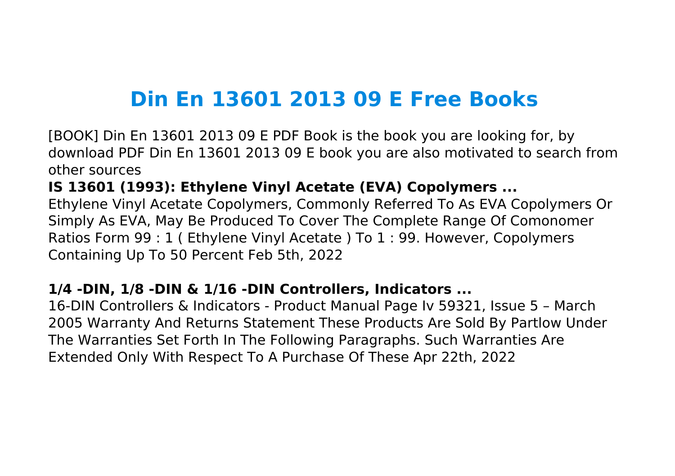# **Din En 13601 2013 09 E Free Books**

[BOOK] Din En 13601 2013 09 E PDF Book is the book you are looking for, by download PDF Din En 13601 2013 09 E book you are also motivated to search from other sources

**IS 13601 (1993): Ethylene Vinyl Acetate (EVA) Copolymers ...**

Ethylene Vinyl Acetate Copolymers, Commonly Referred To As EVA Copolymers Or Simply As EVA, May Be Produced To Cover The Complete Range Of Comonomer Ratios Form 99 : 1 ( Ethylene Vinyl Acetate ) To 1 : 99. However, Copolymers Containing Up To 50 Percent Feb 5th, 2022

## **1/4 -DIN, 1/8 -DIN & 1/16 -DIN Controllers, Indicators ...**

16-DIN Controllers & Indicators - Product Manual Page Iv 59321, Issue 5 – March 2005 Warranty And Returns Statement These Products Are Sold By Partlow Under The Warranties Set Forth In The Following Paragraphs. Such Warranties Are Extended Only With Respect To A Purchase Of These Apr 22th, 2022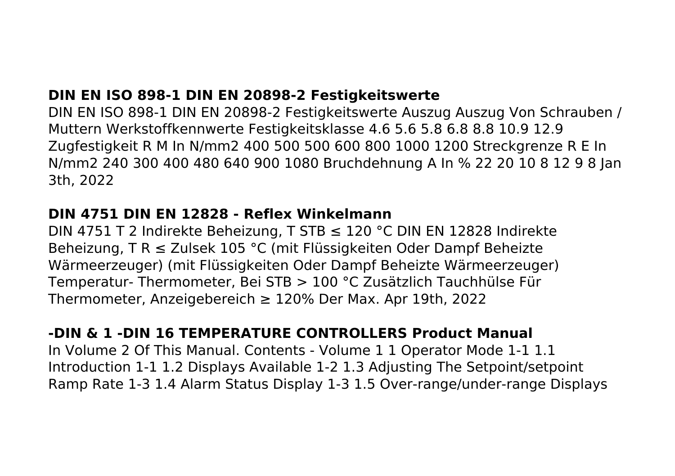# **DIN EN ISO 898-1 DIN EN 20898-2 Festigkeitswerte**

DIN EN ISO 898-1 DIN EN 20898-2 Festigkeitswerte Auszug Auszug Von Schrauben / Muttern Werkstoffkennwerte Festigkeitsklasse 4.6 5.6 5.8 6.8 8.8 10.9 12.9 Zugfestigkeit R M In N/mm2 400 500 500 600 800 1000 1200 Streckgrenze R E In N/mm2 240 300 400 480 640 900 1080 Bruchdehnung A In % 22 20 10 8 12 9 8 Jan 3th, 2022

#### **DIN 4751 DIN EN 12828 - Reflex Winkelmann**

DIN 4751 T 2 Indirekte Beheizung, T STB ≤ 120 °C DIN EN 12828 Indirekte Beheizung, T R ≤ Zulsek 105 °C (mit Flüssigkeiten Oder Dampf Beheizte Wärmeerzeuger) (mit Flüssigkeiten Oder Dampf Beheizte Wärmeerzeuger) Temperatur- Thermometer, Bei STB > 100 °C Zusätzlich Tauchhülse Für Thermometer, Anzeigebereich ≥ 120% Der Max. Apr 19th, 2022

## **-DIN & 1 -DIN 16 TEMPERATURE CONTROLLERS Product Manual**

In Volume 2 Of This Manual. Contents - Volume 1 1 Operator Mode 1-1 1.1 Introduction 1-1 1.2 Displays Available 1-2 1.3 Adjusting The Setpoint/setpoint Ramp Rate 1-3 1.4 Alarm Status Display 1-3 1.5 Over-range/under-range Displays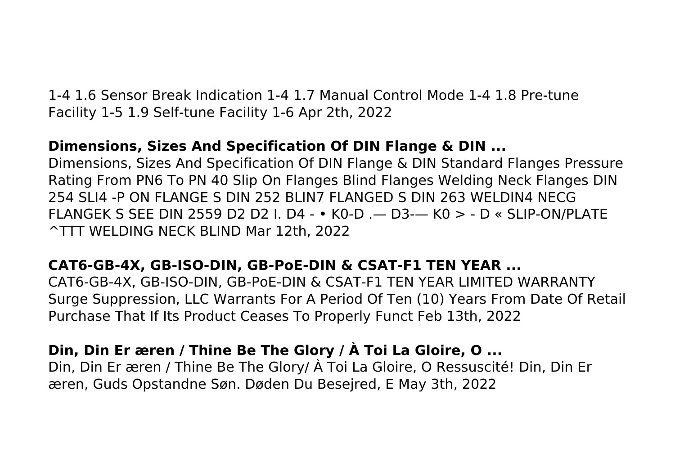1-4 1.6 Sensor Break Indication 1-4 1.7 Manual Control Mode 1-4 1.8 Pre-tune Facility 1-5 1.9 Self-tune Facility 1-6 Apr 2th, 2022

# **Dimensions, Sizes And Specification Of DIN Flange & DIN ...**

Dimensions, Sizes And Specification Of DIN Flange & DIN Standard Flanges Pressure Rating From PN6 To PN 40 Slip On Flanges Blind Flanges Welding Neck Flanges DIN 254 SLI4 -P ON FLANGE S DIN 252 BLIN7 FLANGED S DIN 263 WELDIN4 NECG FLANGEK S SEE DIN 2559 D2 D2 I. D4 - • K0-D .— D3-— K0 > - D « SLIP-ON/PLATE ^TTT WELDING NECK BLIND Mar 12th, 2022

# **CAT6-GB-4X, GB-ISO-DIN, GB-PoE-DIN & CSAT-F1 TEN YEAR ...**

CAT6-GB-4X, GB-ISO-DIN, GB-PoE-DIN & CSAT-F1 TEN YEAR LIMITED WARRANTY Surge Suppression, LLC Warrants For A Period Of Ten (10) Years From Date Of Retail Purchase That If Its Product Ceases To Properly Funct Feb 13th, 2022

# **Din, Din Er æren / Thine Be The Glory / À Toi La Gloire, O ...**

Din, Din Er æren / Thine Be The Glory/ À Toi La Gloire, O Ressuscité! Din, Din Er æren, Guds Opstandne Søn. Døden Du Besejred, E May 3th, 2022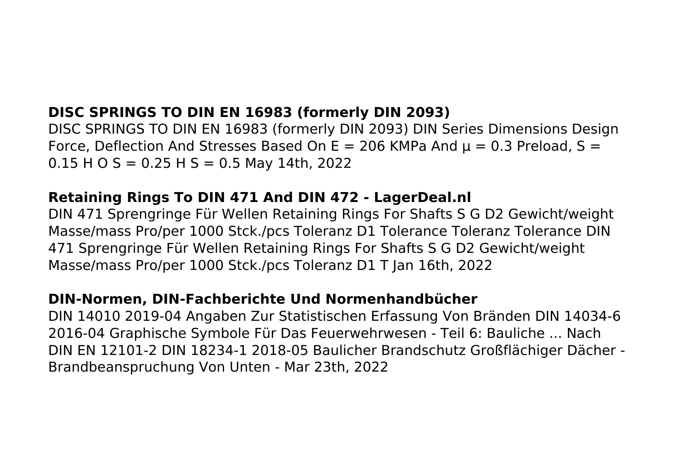# **DISC SPRINGS TO DIN EN 16983 (formerly DIN 2093)**

DISC SPRINGS TO DIN EN 16983 (formerly DIN 2093) DIN Series Dimensions Design Force, Deflection And Stresses Based On E = 206 KMPa And  $\mu$  = 0.3 Preload, S =  $0.15$  H O S = 0.25 H S = 0.5 May 14th, 2022

#### **Retaining Rings To DIN 471 And DIN 472 - LagerDeal.nl**

DIN 471 Sprengringe Für Wellen Retaining Rings For Shafts S G D2 Gewicht/weight Masse/mass Pro/per 1000 Stck./pcs Toleranz D1 Tolerance Toleranz Tolerance DIN 471 Sprengringe Für Wellen Retaining Rings For Shafts S G D2 Gewicht/weight Masse/mass Pro/per 1000 Stck./pcs Toleranz D1 T Jan 16th, 2022

### **DIN-Normen, DIN-Fachberichte Und Normenhandbücher**

DIN 14010 2019-04 Angaben Zur Statistischen Erfassung Von Bränden DIN 14034-6 2016-04 Graphische Symbole Für Das Feuerwehrwesen - Teil 6: Bauliche ... Nach DIN EN 12101-2 DIN 18234-1 2018-05 Baulicher Brandschutz Großflächiger Dächer - Brandbeanspruchung Von Unten - Mar 23th, 2022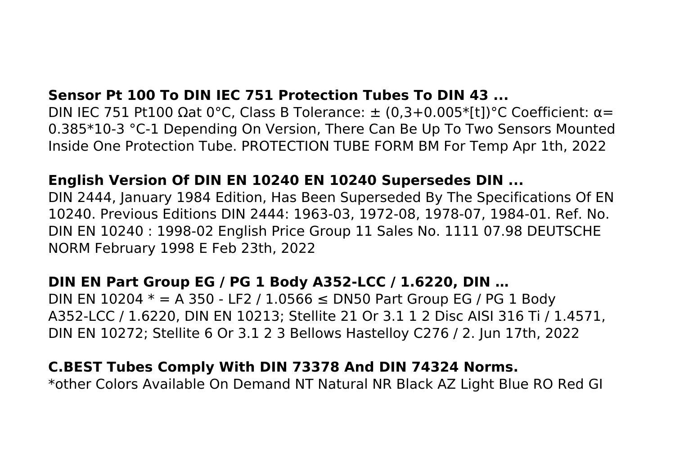## **Sensor Pt 100 To DIN IEC 751 Protection Tubes To DIN 43 ...**

DIN IEC 751 Pt100 Ωat 0°C, Class B Tolerance:  $\pm$  (0,3+0.005\*[t])°C Coefficient:  $\alpha$ = 0.385\*10-3 °C-1 Depending On Version, There Can Be Up To Two Sensors Mounted Inside One Protection Tube. PROTECTION TUBE FORM BM For Temp Apr 1th, 2022

#### **English Version Of DIN EN 10240 EN 10240 Supersedes DIN ...**

DIN 2444, January 1984 Edition, Has Been Superseded By The Specifications Of EN 10240. Previous Editions DIN 2444: 1963-03, 1972-08, 1978-07, 1984-01. Ref. No. DIN EN 10240 : 1998-02 English Price Group 11 Sales No. 1111 07.98 DEUTSCHE NORM February 1998 E Feb 23th, 2022

### **DIN EN Part Group EG / PG 1 Body A352-LCC / 1.6220, DIN …**

DIN EN 10204  $*$  = A 350 - LF2 / 1.0566 ≤ DN50 Part Group EG / PG 1 Body A352-LCC / 1.6220, DIN EN 10213; Stellite 21 Or 3.1 1 2 Disc AISI 316 Ti / 1.4571, DIN EN 10272; Stellite 6 Or 3.1 2 3 Bellows Hastelloy C276 / 2. Jun 17th, 2022

## **C.BEST Tubes Comply With DIN 73378 And DIN 74324 Norms.**

\*other Colors Available On Demand NT Natural NR Black AZ Light Blue RO Red GI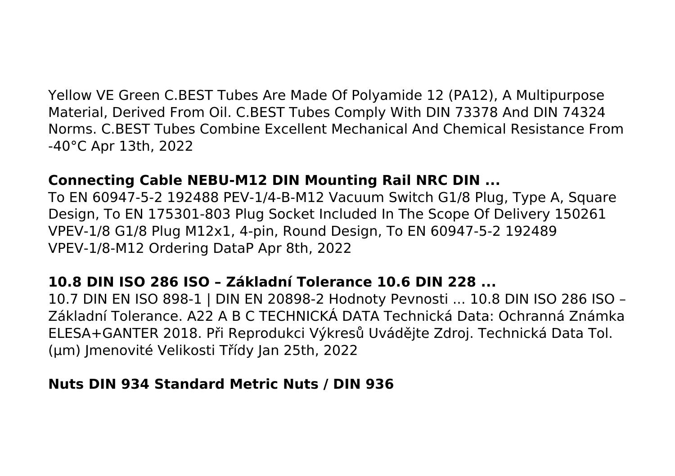Yellow VE Green C.BEST Tubes Are Made Of Polyamide 12 (PA12), A Multipurpose Material, Derived From Oil. C.BEST Tubes Comply With DIN 73378 And DIN 74324 Norms. C.BEST Tubes Combine Excellent Mechanical And Chemical Resistance From -40°C Apr 13th, 2022

#### **Connecting Cable NEBU-M12 DIN Mounting Rail NRC DIN ...**

To EN 60947-5-2 192488 PEV-1/4-B-M12 Vacuum Switch G1/8 Plug, Type A, Square Design, To EN 175301-803 Plug Socket Included In The Scope Of Delivery 150261 VPEV-1/8 G1/8 Plug M12x1, 4-pin, Round Design, To EN 60947-5-2 192489 VPEV-1/8-M12 Ordering DataP Apr 8th, 2022

### **10.8 DIN ISO 286 ISO – Základní Tolerance 10.6 DIN 228 ...**

10.7 DIN EN ISO 898-1 | DIN EN 20898-2 Hodnoty Pevnosti ... 10.8 DIN ISO 286 ISO – Základní Tolerance. A22 A B C TECHNICKÁ DATA Technická Data: Ochranná Známka ELESA+GANTER 2018. Při Reprodukci Výkresů Uvádějte Zdroj. Technická Data Tol. (μm) Jmenovité Velikosti Třídy Jan 25th, 2022

#### **Nuts DIN 934 Standard Metric Nuts / DIN 936**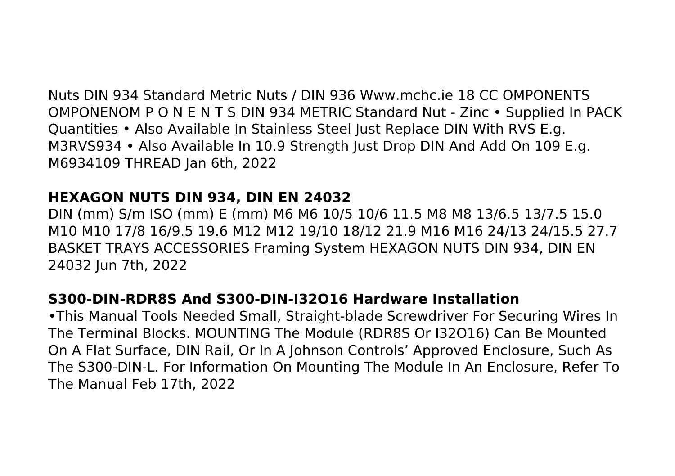Nuts DIN 934 Standard Metric Nuts / DIN 936 Www.mchc.ie 18 CC OMPONENTS OMPONENOM P O N E N T S DIN 934 METRIC Standard Nut - Zinc • Supplied In PACK Quantities • Also Available In Stainless Steel Just Replace DIN With RVS E.g. M3RVS934 • Also Available In 10.9 Strength Just Drop DIN And Add On 109 E.g. M6934109 THREAD Jan 6th, 2022

## **HEXAGON NUTS DIN 934, DIN EN 24032**

DIN (mm) S/m ISO (mm) E (mm) M6 M6 10/5 10/6 11.5 M8 M8 13/6.5 13/7.5 15.0 M10 M10 17/8 16/9.5 19.6 M12 M12 19/10 18/12 21.9 M16 M16 24/13 24/15.5 27.7 BASKET TRAYS ACCESSORIES Framing System HEXAGON NUTS DIN 934, DIN EN 24032 Jun 7th, 2022

# **S300-DIN-RDR8S And S300-DIN-I32O16 Hardware Installation**

•This Manual Tools Needed Small, Straight-blade Screwdriver For Securing Wires In The Terminal Blocks. MOUNTING The Module (RDR8S Or I32O16) Can Be Mounted On A Flat Surface, DIN Rail, Or In A Johnson Controls' Approved Enclosure, Such As The S300-DIN-L. For Information On Mounting The Module In An Enclosure, Refer To The Manual Feb 17th, 2022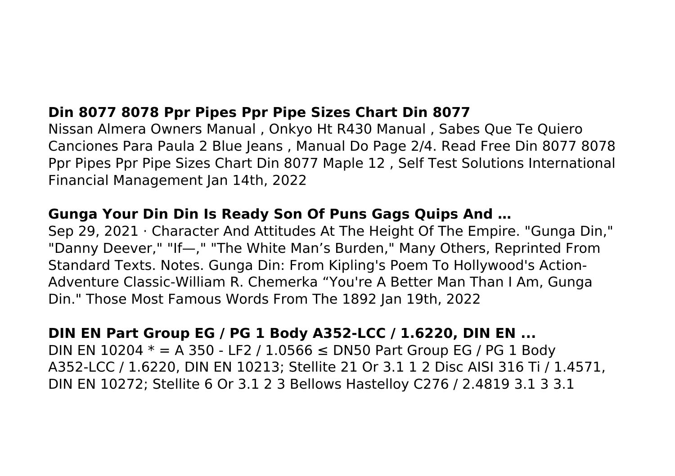# **Din 8077 8078 Ppr Pipes Ppr Pipe Sizes Chart Din 8077**

Nissan Almera Owners Manual , Onkyo Ht R430 Manual , Sabes Que Te Quiero Canciones Para Paula 2 Blue Jeans , Manual Do Page 2/4. Read Free Din 8077 8078 Ppr Pipes Ppr Pipe Sizes Chart Din 8077 Maple 12 , Self Test Solutions International Financial Management Jan 14th, 2022

## **Gunga Your Din Din Is Ready Son Of Puns Gags Quips And …**

Sep 29, 2021 · Character And Attitudes At The Height Of The Empire. "Gunga Din," "Danny Deever," "If—," "The White Man's Burden," Many Others, Reprinted From Standard Texts. Notes. Gunga Din: From Kipling's Poem To Hollywood's Action-Adventure Classic-William R. Chemerka "You're A Better Man Than I Am, Gunga Din." Those Most Famous Words From The 1892 Jan 19th, 2022

## **DIN EN Part Group EG / PG 1 Body A352-LCC / 1.6220, DIN EN ...**

DIN EN 10204  $*$  = A 350 - LF2 / 1.0566 ≤ DN50 Part Group EG / PG 1 Body A352-LCC / 1.6220, DIN EN 10213; Stellite 21 Or 3.1 1 2 Disc AISI 316 Ti / 1.4571, DIN EN 10272; Stellite 6 Or 3.1 2 3 Bellows Hastelloy C276 / 2.4819 3.1 3 3.1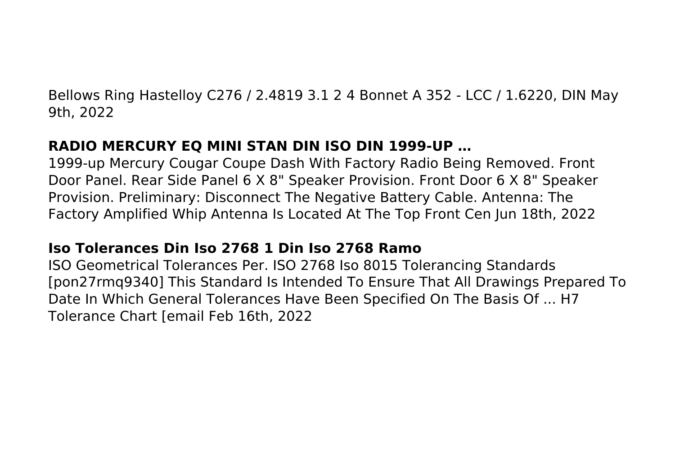Bellows Ring Hastelloy C276 / 2.4819 3.1 2 4 Bonnet A 352 - LCC / 1.6220, DIN May 9th, 2022

# **RADIO MERCURY EQ MINI STAN DIN ISO DIN 1999-UP …**

1999-up Mercury Cougar Coupe Dash With Factory Radio Being Removed. Front Door Panel. Rear Side Panel 6 X 8" Speaker Provision. Front Door 6 X 8" Speaker Provision. Preliminary: Disconnect The Negative Battery Cable. Antenna: The Factory Amplified Whip Antenna Is Located At The Top Front Cen Jun 18th, 2022

# **Iso Tolerances Din Iso 2768 1 Din Iso 2768 Ramo**

ISO Geometrical Tolerances Per. ISO 2768 Iso 8015 Tolerancing Standards [pon27rmq9340] This Standard Is Intended To Ensure That All Drawings Prepared To Date In Which General Tolerances Have Been Specified On The Basis Of ... H7 Tolerance Chart [email Feb 16th, 2022